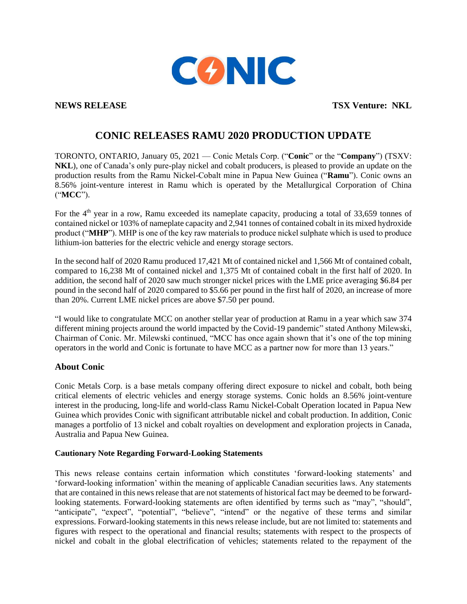

**NEWS RELEASE TSX Venture:** NKL

## **CONIC RELEASES RAMU 2020 PRODUCTION UPDATE**

TORONTO, ONTARIO, January 05, 2021 — Conic Metals Corp. ("**Conic**" or the "**Company**") (TSXV: **NKL**), one of Canada's only pure-play nickel and cobalt producers, is pleased to provide an update on the production results from the Ramu Nickel-Cobalt mine in Papua New Guinea ("**Ramu**"). Conic owns an 8.56% joint-venture interest in Ramu which is operated by the Metallurgical Corporation of China ("**MCC**").

For the  $4<sup>th</sup>$  year in a row, Ramu exceeded its nameplate capacity, producing a total of 33,659 tonnes of contained nickel or 103% of nameplate capacity and 2,941 tonnes of contained cobalt in its mixed hydroxide product ("**MHP**"). MHP is one of the key raw materials to produce nickel sulphate which is used to produce lithium-ion batteries for the electric vehicle and energy storage sectors.

In the second half of 2020 Ramu produced 17,421 Mt of contained nickel and 1,566 Mt of contained cobalt, compared to 16,238 Mt of contained nickel and 1,375 Mt of contained cobalt in the first half of 2020. In addition, the second half of 2020 saw much stronger nickel prices with the LME price averaging \$6.84 per pound in the second half of 2020 compared to \$5.66 per pound in the first half of 2020, an increase of more than 20%. Current LME nickel prices are above \$7.50 per pound.

"I would like to congratulate MCC on another stellar year of production at Ramu in a year which saw 374 different mining projects around the world impacted by the Covid-19 pandemic" stated Anthony Milewski, Chairman of Conic. Mr. Milewski continued, "MCC has once again shown that it's one of the top mining operators in the world and Conic is fortunate to have MCC as a partner now for more than 13 years."

## **About Conic**

Conic Metals Corp. is a base metals company offering direct exposure to nickel and cobalt, both being critical elements of electric vehicles and energy storage systems. Conic holds an 8.56% joint-venture interest in the producing, long-life and world-class Ramu Nickel-Cobalt Operation located in Papua New Guinea which provides Conic with significant attributable nickel and cobalt production. In addition, Conic manages a portfolio of 13 nickel and cobalt royalties on development and exploration projects in Canada, Australia and Papua New Guinea.

## **Cautionary Note Regarding Forward-Looking Statements**

This news release contains certain information which constitutes 'forward-looking statements' and 'forward-looking information' within the meaning of applicable Canadian securities laws. Any statements that are contained in this news release that are not statements of historical fact may be deemed to be forwardlooking statements. Forward-looking statements are often identified by terms such as "may", "should", "anticipate", "expect", "potential", "believe", "intend" or the negative of these terms and similar expressions. Forward-looking statements in this news release include, but are not limited to: statements and figures with respect to the operational and financial results; statements with respect to the prospects of nickel and cobalt in the global electrification of vehicles; statements related to the repayment of the